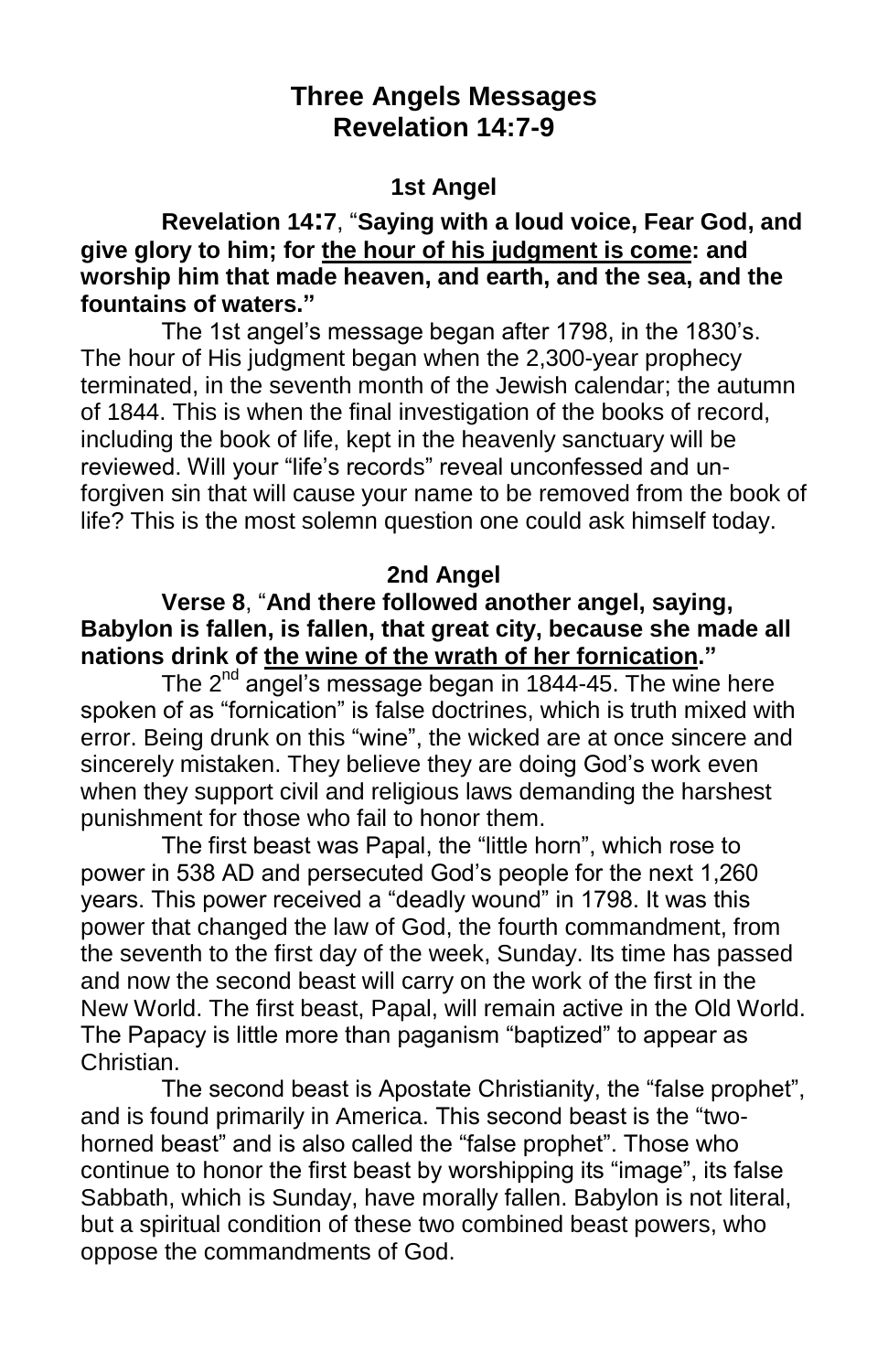# **Three Angels Messages Revelation 14:7-9**

#### **1st Angel**

## **Revelation 14:7**, "**Saying with a loud voice, Fear God, and give glory to him; for the hour of his judgment is come: and worship him that made heaven, and earth, and the sea, and the fountains of waters."**

The 1st angel's message began after 1798, in the 1830's. The hour of His judgment began when the 2,300-year prophecy terminated, in the seventh month of the Jewish calendar; the autumn of 1844. This is when the final investigation of the books of record, including the book of life, kept in the heavenly sanctuary will be reviewed. Will your "life's records" reveal unconfessed and unforgiven sin that will cause your name to be removed from the book of life? This is the most solemn question one could ask himself today.

## **2nd Angel**

#### **Verse 8**, "**And there followed another angel, saying, Babylon is fallen, is fallen, that great city, because she made all nations drink of the wine of the wrath of her fornication."**

The  $2<sup>nd</sup>$  angel's message began in 1844-45. The wine here spoken of as "fornication" is false doctrines, which is truth mixed with error. Being drunk on this "wine", the wicked are at once sincere and sincerely mistaken. They believe they are doing God's work even when they support civil and religious laws demanding the harshest punishment for those who fail to honor them.

The first beast was Papal, the "little horn", which rose to power in 538 AD and persecuted God's people for the next 1,260 years. This power received a "deadly wound" in 1798. It was this power that changed the law of God, the fourth commandment, from the seventh to the first day of the week, Sunday. Its time has passed and now the second beast will carry on the work of the first in the New World. The first beast, Papal, will remain active in the Old World. The Papacy is little more than paganism "baptized" to appear as Christian.

The second beast is Apostate Christianity, the "false prophet", and is found primarily in America. This second beast is the "twohorned beast" and is also called the "false prophet". Those who continue to honor the first beast by worshipping its "image", its false Sabbath, which is Sunday, have morally fallen. Babylon is not literal, but a spiritual condition of these two combined beast powers, who oppose the commandments of God.